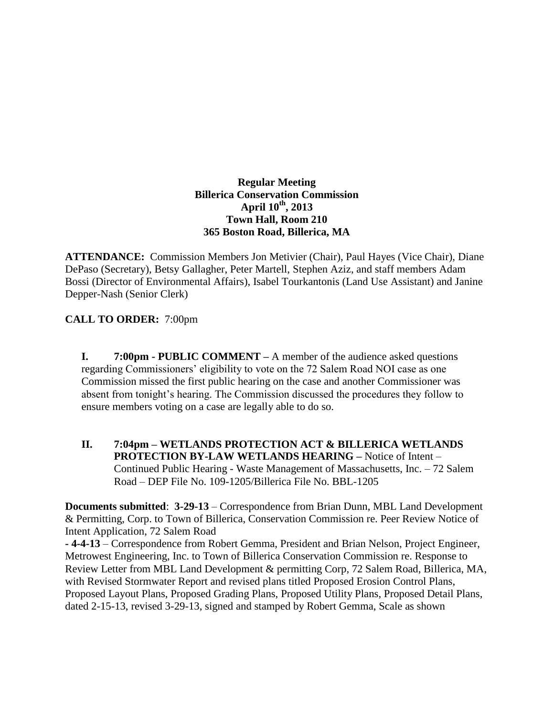## **Regular Meeting Billerica Conservation Commission April 10th , 2013 Town Hall, Room 210 365 Boston Road, Billerica, MA**

**ATTENDANCE:** Commission Members Jon Metivier (Chair), Paul Hayes (Vice Chair), Diane DePaso (Secretary), Betsy Gallagher, Peter Martell, Stephen Aziz, and staff members Adam Bossi (Director of Environmental Affairs), Isabel Tourkantonis (Land Use Assistant) and Janine Depper-Nash (Senior Clerk)

## **CALL TO ORDER:** 7:00pm

**I. 7:00pm - PUBLIC COMMENT –** A member of the audience asked questions regarding Commissioners' eligibility to vote on the 72 Salem Road NOI case as one Commission missed the first public hearing on the case and another Commissioner was absent from tonight's hearing. The Commission discussed the procedures they follow to ensure members voting on a case are legally able to do so.

**II. 7:04pm – WETLANDS PROTECTION ACT & BILLERICA WETLANDS PROTECTION BY-LAW WETLANDS HEARING –** Notice of Intent – Continued Public Hearing - Waste Management of Massachusetts, Inc. – 72 Salem Road – DEP File No. 109-1205/Billerica File No. BBL-1205

**Documents submitted**: **3-29-13** – Correspondence from Brian Dunn, MBL Land Development & Permitting, Corp. to Town of Billerica, Conservation Commission re. Peer Review Notice of Intent Application, 72 Salem Road

**- 4-4-13** – Correspondence from Robert Gemma, President and Brian Nelson, Project Engineer, Metrowest Engineering, Inc. to Town of Billerica Conservation Commission re. Response to Review Letter from MBL Land Development & permitting Corp, 72 Salem Road, Billerica, MA, with Revised Stormwater Report and revised plans titled Proposed Erosion Control Plans, Proposed Layout Plans, Proposed Grading Plans, Proposed Utility Plans, Proposed Detail Plans, dated 2-15-13, revised 3-29-13, signed and stamped by Robert Gemma, Scale as shown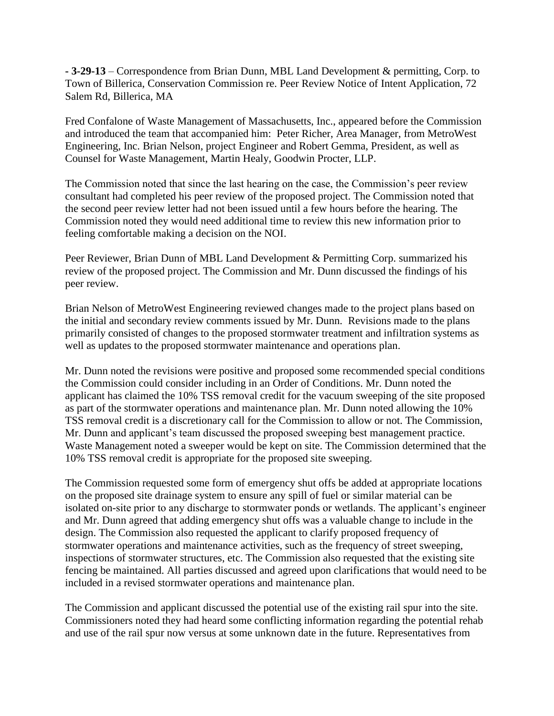**- 3-29-13** – Correspondence from Brian Dunn, MBL Land Development & permitting, Corp. to Town of Billerica, Conservation Commission re. Peer Review Notice of Intent Application, 72 Salem Rd, Billerica, MA

Fred Confalone of Waste Management of Massachusetts, Inc., appeared before the Commission and introduced the team that accompanied him: Peter Richer, Area Manager, from MetroWest Engineering, Inc. Brian Nelson, project Engineer and Robert Gemma, President, as well as Counsel for Waste Management, Martin Healy, Goodwin Procter, LLP.

The Commission noted that since the last hearing on the case, the Commission's peer review consultant had completed his peer review of the proposed project. The Commission noted that the second peer review letter had not been issued until a few hours before the hearing. The Commission noted they would need additional time to review this new information prior to feeling comfortable making a decision on the NOI.

Peer Reviewer, Brian Dunn of MBL Land Development & Permitting Corp. summarized his review of the proposed project. The Commission and Mr. Dunn discussed the findings of his peer review.

Brian Nelson of MetroWest Engineering reviewed changes made to the project plans based on the initial and secondary review comments issued by Mr. Dunn. Revisions made to the plans primarily consisted of changes to the proposed stormwater treatment and infiltration systems as well as updates to the proposed stormwater maintenance and operations plan.

Mr. Dunn noted the revisions were positive and proposed some recommended special conditions the Commission could consider including in an Order of Conditions. Mr. Dunn noted the applicant has claimed the 10% TSS removal credit for the vacuum sweeping of the site proposed as part of the stormwater operations and maintenance plan. Mr. Dunn noted allowing the 10% TSS removal credit is a discretionary call for the Commission to allow or not. The Commission, Mr. Dunn and applicant's team discussed the proposed sweeping best management practice. Waste Management noted a sweeper would be kept on site. The Commission determined that the 10% TSS removal credit is appropriate for the proposed site sweeping.

The Commission requested some form of emergency shut offs be added at appropriate locations on the proposed site drainage system to ensure any spill of fuel or similar material can be isolated on-site prior to any discharge to stormwater ponds or wetlands. The applicant's engineer and Mr. Dunn agreed that adding emergency shut offs was a valuable change to include in the design. The Commission also requested the applicant to clarify proposed frequency of stormwater operations and maintenance activities, such as the frequency of street sweeping, inspections of stormwater structures, etc. The Commission also requested that the existing site fencing be maintained. All parties discussed and agreed upon clarifications that would need to be included in a revised stormwater operations and maintenance plan.

The Commission and applicant discussed the potential use of the existing rail spur into the site. Commissioners noted they had heard some conflicting information regarding the potential rehab and use of the rail spur now versus at some unknown date in the future. Representatives from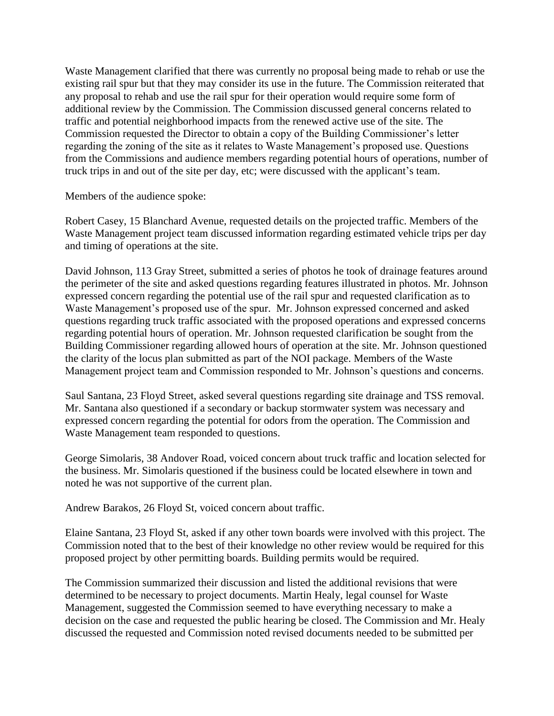Waste Management clarified that there was currently no proposal being made to rehab or use the existing rail spur but that they may consider its use in the future. The Commission reiterated that any proposal to rehab and use the rail spur for their operation would require some form of additional review by the Commission. The Commission discussed general concerns related to traffic and potential neighborhood impacts from the renewed active use of the site. The Commission requested the Director to obtain a copy of the Building Commissioner's letter regarding the zoning of the site as it relates to Waste Management's proposed use. Questions from the Commissions and audience members regarding potential hours of operations, number of truck trips in and out of the site per day, etc; were discussed with the applicant's team.

Members of the audience spoke:

Robert Casey, 15 Blanchard Avenue, requested details on the projected traffic. Members of the Waste Management project team discussed information regarding estimated vehicle trips per day and timing of operations at the site.

David Johnson, 113 Gray Street, submitted a series of photos he took of drainage features around the perimeter of the site and asked questions regarding features illustrated in photos. Mr. Johnson expressed concern regarding the potential use of the rail spur and requested clarification as to Waste Management's proposed use of the spur. Mr. Johnson expressed concerned and asked questions regarding truck traffic associated with the proposed operations and expressed concerns regarding potential hours of operation. Mr. Johnson requested clarification be sought from the Building Commissioner regarding allowed hours of operation at the site. Mr. Johnson questioned the clarity of the locus plan submitted as part of the NOI package. Members of the Waste Management project team and Commission responded to Mr. Johnson's questions and concerns.

Saul Santana, 23 Floyd Street, asked several questions regarding site drainage and TSS removal. Mr. Santana also questioned if a secondary or backup stormwater system was necessary and expressed concern regarding the potential for odors from the operation. The Commission and Waste Management team responded to questions.

George Simolaris, 38 Andover Road, voiced concern about truck traffic and location selected for the business. Mr. Simolaris questioned if the business could be located elsewhere in town and noted he was not supportive of the current plan.

Andrew Barakos, 26 Floyd St, voiced concern about traffic.

Elaine Santana, 23 Floyd St, asked if any other town boards were involved with this project. The Commission noted that to the best of their knowledge no other review would be required for this proposed project by other permitting boards. Building permits would be required.

The Commission summarized their discussion and listed the additional revisions that were determined to be necessary to project documents. Martin Healy, legal counsel for Waste Management, suggested the Commission seemed to have everything necessary to make a decision on the case and requested the public hearing be closed. The Commission and Mr. Healy discussed the requested and Commission noted revised documents needed to be submitted per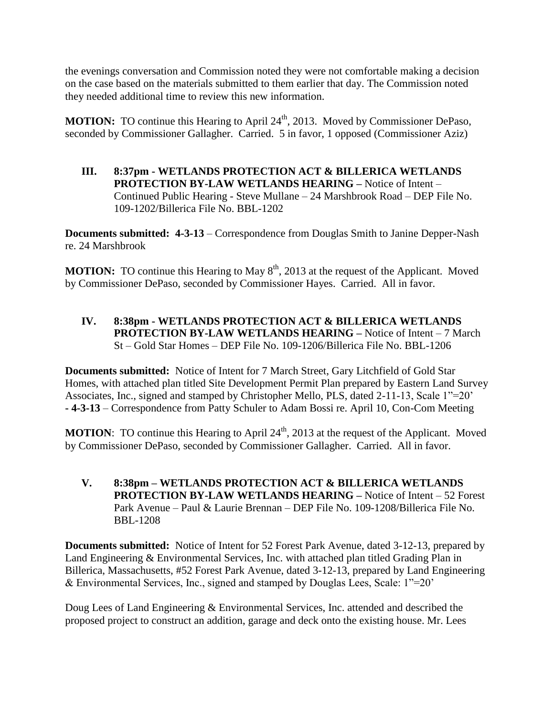the evenings conversation and Commission noted they were not comfortable making a decision on the case based on the materials submitted to them earlier that day. The Commission noted they needed additional time to review this new information.

**MOTION:** TO continue this Hearing to April 24<sup>th</sup>, 2013. Moved by Commissioner DePaso, seconded by Commissioner Gallagher. Carried. 5 in favor, 1 opposed (Commissioner Aziz)

**III. 8:37pm - WETLANDS PROTECTION ACT & BILLERICA WETLANDS PROTECTION BY-LAW WETLANDS HEARING –** Notice of Intent – Continued Public Hearing - Steve Mullane – 24 Marshbrook Road – DEP File No. 109-1202/Billerica File No. BBL-1202

**Documents submitted: 4-3-13** – Correspondence from Douglas Smith to Janine Depper-Nash re. 24 Marshbrook

**MOTION:** TO continue this Hearing to May 8<sup>th</sup>, 2013 at the request of the Applicant. Moved by Commissioner DePaso, seconded by Commissioner Hayes. Carried. All in favor.

**IV. 8:38pm - WETLANDS PROTECTION ACT & BILLERICA WETLANDS PROTECTION BY-LAW WETLANDS HEARING –** Notice of Intent – 7 March St – Gold Star Homes – DEP File No. 109-1206/Billerica File No. BBL-1206

**Documents submitted:** Notice of Intent for 7 March Street, Gary Litchfield of Gold Star Homes, with attached plan titled Site Development Permit Plan prepared by Eastern Land Survey Associates, Inc., signed and stamped by Christopher Mello, PLS, dated 2-11-13, Scale 1"=20' **- 4-3-13** – Correspondence from Patty Schuler to Adam Bossi re. April 10, Con-Com Meeting

**MOTION:** TO continue this Hearing to April 24<sup>th</sup>, 2013 at the request of the Applicant. Moved by Commissioner DePaso, seconded by Commissioner Gallagher. Carried. All in favor.

**V. 8:38pm – WETLANDS PROTECTION ACT & BILLERICA WETLANDS PROTECTION BY-LAW WETLANDS HEARING –** Notice of Intent – 52 Forest Park Avenue – Paul & Laurie Brennan – DEP File No. 109-1208/Billerica File No. BBL-1208

**Documents submitted:** Notice of Intent for 52 Forest Park Avenue, dated 3-12-13, prepared by Land Engineering & Environmental Services, Inc. with attached plan titled Grading Plan in Billerica, Massachusetts, #52 Forest Park Avenue, dated 3-12-13, prepared by Land Engineering & Environmental Services, Inc., signed and stamped by Douglas Lees, Scale: 1"=20'

Doug Lees of Land Engineering & Environmental Services, Inc. attended and described the proposed project to construct an addition, garage and deck onto the existing house. Mr. Lees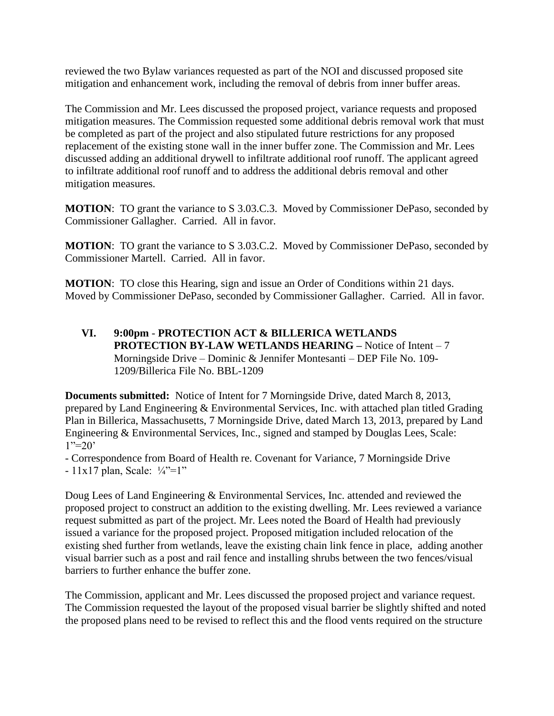reviewed the two Bylaw variances requested as part of the NOI and discussed proposed site mitigation and enhancement work, including the removal of debris from inner buffer areas.

The Commission and Mr. Lees discussed the proposed project, variance requests and proposed mitigation measures. The Commission requested some additional debris removal work that must be completed as part of the project and also stipulated future restrictions for any proposed replacement of the existing stone wall in the inner buffer zone. The Commission and Mr. Lees discussed adding an additional drywell to infiltrate additional roof runoff. The applicant agreed to infiltrate additional roof runoff and to address the additional debris removal and other mitigation measures.

**MOTION**: TO grant the variance to S 3.03.C.3. Moved by Commissioner DePaso, seconded by Commissioner Gallagher. Carried. All in favor.

**MOTION**: TO grant the variance to S 3.03.C.2. Moved by Commissioner DePaso, seconded by Commissioner Martell. Carried. All in favor.

**MOTION:** TO close this Hearing, sign and issue an Order of Conditions within 21 days. Moved by Commissioner DePaso, seconded by Commissioner Gallagher. Carried. All in favor.

**VI. 9:00pm** - **PROTECTION ACT & BILLERICA WETLANDS PROTECTION BY-LAW WETLANDS HEARING – Notice of Intent – 7** Morningside Drive – Dominic & Jennifer Montesanti – DEP File No. 109- 1209/Billerica File No. BBL-1209

**Documents submitted:** Notice of Intent for 7 Morningside Drive, dated March 8, 2013, prepared by Land Engineering & Environmental Services, Inc. with attached plan titled Grading Plan in Billerica, Massachusetts, 7 Morningside Drive, dated March 13, 2013, prepared by Land Engineering & Environmental Services, Inc., signed and stamped by Douglas Lees, Scale:  $1"=20'$ 

- Correspondence from Board of Health re. Covenant for Variance, 7 Morningside Drive - 11x17 plan, Scale: ¼"=1"

Doug Lees of Land Engineering & Environmental Services, Inc. attended and reviewed the proposed project to construct an addition to the existing dwelling. Mr. Lees reviewed a variance request submitted as part of the project. Mr. Lees noted the Board of Health had previously issued a variance for the proposed project. Proposed mitigation included relocation of the existing shed further from wetlands, leave the existing chain link fence in place, adding another visual barrier such as a post and rail fence and installing shrubs between the two fences/visual barriers to further enhance the buffer zone.

The Commission, applicant and Mr. Lees discussed the proposed project and variance request. The Commission requested the layout of the proposed visual barrier be slightly shifted and noted the proposed plans need to be revised to reflect this and the flood vents required on the structure